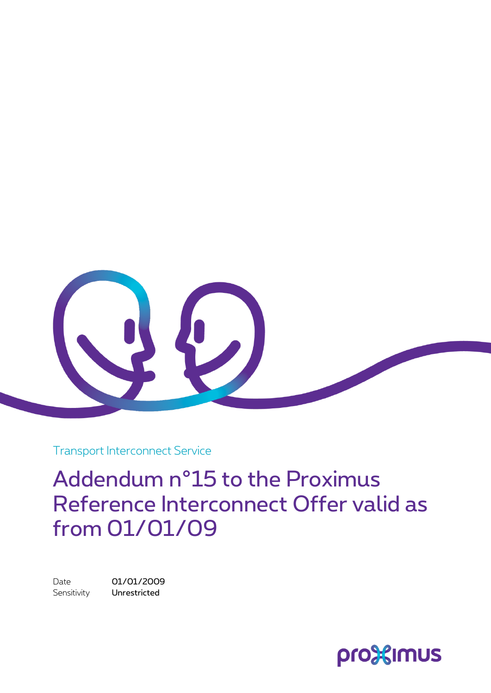

Transport Interconnect Service

Addendum n°15 to the Proximus Reference Interconnect Offer valid as from 01/01/09

Date 01/01/2009 Sensitivity **Unrestricted** 

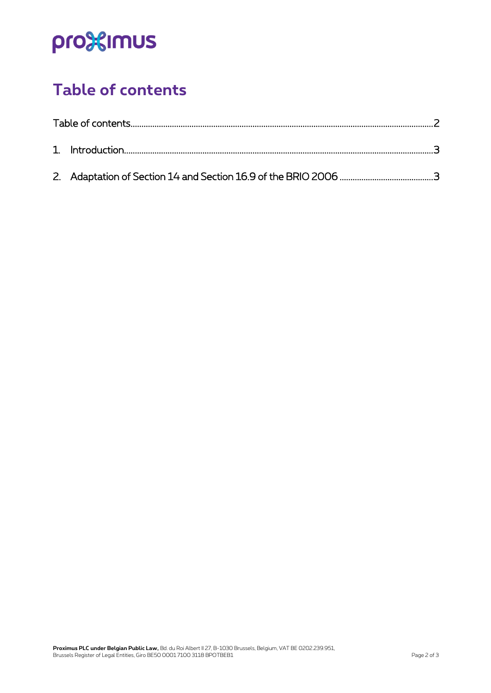# pro<sup>32</sup>imus

### <span id="page-1-0"></span>**Table of contents**